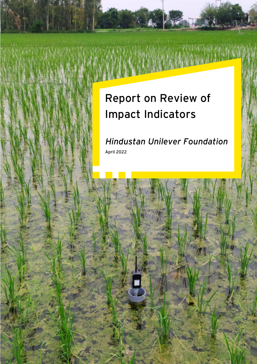# **Report on Review of Impact Indicators**

 *Hindustan Unilever Foundation*  **April 2022**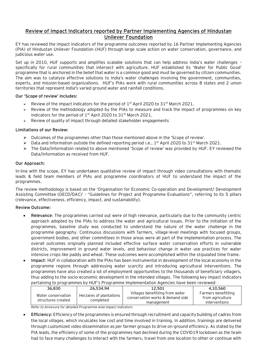### **Review of Impact Indicators reported by Partner Implementing Agencies of Hindustan Unilever Foundation**

EY has reviewed the impact Indicators of the programme outcomes reported by 16 Partner Implementing Agencies (PIA) of Hindustan Unilever Foundation (HUF) through large scale action on water conservation, governance, and judicious water use.

Set up in 2010, HUF supports and amplifies scalable solutions that can help address India's water challenges – specifically for rural communities that intersect with agriculture. HUF established its 'Water for Public Good' programme that is anchored in the belief that water is a common good and must be governed by citizen communities. The aim was to catalyze effective solutions to India's water challenges involving the government, communities, experts, and mission-based organizations. HUF's PIAs work with rural communities across 8 states and 2 union territories that represent India's varied ground water and rainfall conditions.

#### **Our 'Scope of review' includes:**

- $\triangleright$  Review of the impact indicators for the period of 1<sup>st</sup> April 2020 to 31<sup>st</sup> March 2021.
- ➢ Review of the methodology adopted by the PIAs to measure and track the impact of programmes on key indicators for the period of  $1<sup>st</sup>$  April 2020 to  $31<sup>st</sup>$  March 2021.
- ➢ Review of quality of impact through detailed stakeholder engagements

#### **Limitations of our Review:**

- $\triangleright$  Outcomes of the programmes other than those mentioned above in the 'Scope of review'.
- ➢ Data and information outside the defined reporting period i.e., 1 st April 2020 to 31st March 2021.
- ➢ The Data/Information related to above mentioned 'Scope of review' was provided by HUF. EY reviewed the Data/Information as received from HUF.

#### **Our Approach:**

In-line with the scope, EY has undertaken qualitative review of impact through video consultations with thematic leads & field team members of PIAs and programme coordinators of HUF to understand the impact of the programmes.

The review methodology is based on the 'Organisation for Economic Co-operation and Development/ Development Assisting Committee (OECD/DAC)' - "Guidelines for Project and Programme Evaluations", referring to its 5 pillars (relevance, effectiveness, efficiency, impact, and sustainability).

#### **Review Outcome:**

- **Relevance**: The programmes carried out were of high relevance, particularly due to the community centric approach adopted by the PIAs to address the water and agricultural issues. Prior to the initiation of the programmes, baseline study was conducted to understand the nature of the water challenge in the programme geography. Continuous discussions with farmers, village-level meetings with focused groups, government bodies, and other committees in those areas were all part of the implementation process. The overall outcomes originally planned included effective surface water conservation efforts in vulnerable districts, improvement in ground water levels, and behaviour change in water use practices for water intensive crops like paddy and wheat. These outcomes were accomplished within the stipulated time frame.
- **Impact**: HUF in collaboration with the PIAs has been instrumental in development of the local economy in the programme regions through addressing water scarcity and introducing agricultural interventions. The programmes have also created a lot of employment opportunities to the thousands of beneficiary villagers, thus adding to the socio-economic development in the intended villages. The following key impact indicators pertaining to programmes by HUF's Programme Implementation Agencies have been reviewed:

| 36.830                                   | 26,534.94                            | 12.501                                                                            | 4.10.560                                                 |
|------------------------------------------|--------------------------------------|-----------------------------------------------------------------------------------|----------------------------------------------------------|
| Water conservation<br>structures created | Hectares of plantations<br>completed | Villages benefitting from water<br>conservation works & demand side<br>management | Farmers benefitting<br>from agriculture<br>interventions |

*Refer to Annexure for detailed Programme wise Impact indicators*

• **Efficiency:** Efficiency of the programmes is ensured through recruitment and capacity building of cadres from the local villages, which inculcates low cost and time involved in training. In addition, trainings are delivered through customized video dissemination as per farmer groups to drive on-ground efficiency. As stated by the PIA leads, the efficiency of some of the programmes had declined during the COVID19 lockdown as the team had to face many challenges to interact with the farmers, travel from one location to other or continue with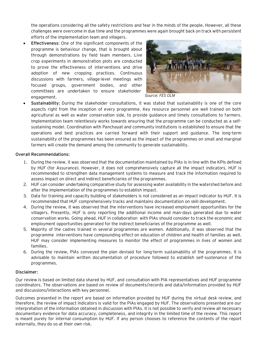the operations considering all the safety restrictions and fear in the minds of the people. However, all these challenges were overcome in due time and the programmes were again brought back on track with persistent efforts of the implementation team and villagers.

• **Effectiveness**: One of the significant components of the programme is behaviour change, that is brought about through demonstrations by field team members. Live crop experiments in demonstration plots are conducted to prove the effectiveness of interventions and drive adoption of new cropping practices. Continuous discussions with farmers, village-level meetings with focused groups, government bodies, and other committees are undertaken to ensure stakeholder engagement.



*Source: FES OLM*

• **Sustainability:** During the stakeholder consultations, it was stated that sustainability is one of the core aspects right from the inception of every programme. Key resource personnel are well trained on both agricultural as well as water conservation side, to provide guidance and timely consultations to farmers. Implementation team relentlessly works towards ensuring that the programme can be conducted as a selfsustaining model. Coordination with Panchayat and community institutions is established to ensure that the operations and best practices are carried forward with their support and guidance. The long-term sustainability of the programmes has been ensured as the impact of the programmes on small and marginal farmers will create the demand among the community to generate sustainability.

#### **Overall Recommendations:**

- 1. During the review, it was observed that the documentation maintained by PIAs is in line with the KPIs defined by HUF (for Assurance). However, it does not comprehensively capture all the impact indicators. HUF is recommended to strengthen data management systems to measure and track the information required to assess impact on direct and indirect beneficiaries of the programmes.
- 2. HUF can consider undertaking comparative study for assessing water availability in the watershed before and after the implementation of the programmes to establish impact.
- 3. Data for training and capacity building of stakeholders is not considered as an impact indicator by HUF. It is recommended that HUF comprehensively tracks and maintains documentation on skill development.
- 4. During the review, it was observed that the interventions have increased employment opportunities for the villagers. Presently, HUF is only reporting the additional income and man-days generated due to water conservation works. Going ahead, HUF in collaboration with PIAs should consider to track the economic and employment opportunities generated for the indirect beneficiaries of the programme as well.
- 5. Majority of the cadres trained in several programmes are women. Additionally, it was observed that the programme interventions have compounding effect on education of children and health of families as well. HUF may consider implementing measures to monitor the effect of programmes in lives of women and families.
- 6. During the review, PIAs conveyed the plan devised for long-term sustainability of the programmes. It is advisable to maintain written documentation of procedure followed to establish self-sustenance of the programmes.

#### **Disclaimer:**

Our review is based on limited data shared by HUF, and consultation with PIA representatives and HUF programme coordinators. The observations are based on review of documents/records and data/information provided by HUF and discussions/interactions with key personnel.

Outcomes presented in the report are based on information provided by HUF during the virtual desk review, and therefore, the review of impact indicators is valid for the PIAs engaged by HUF. The observations presented are our interpretation of the information obtained in discussion with PIAs. It is not possible to verify and review all necessary documentary evidence for data accuracy, completeness, and integrity in the limited time of the review. This report is meant purely for internal consumption by HUF. If any person chooses to reference the contents of the report externally, they do so at their own risk.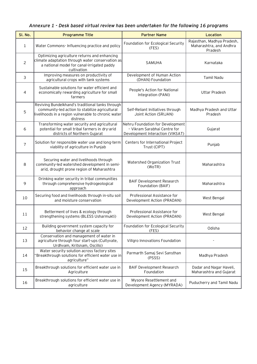## *Annexure 1 - Desk based virtual review has been undertaken for the following 16 programs*

| SI. No.        | <b>Programme Title</b>                                                                                                                                                | <b>Partner Name</b>                                                                                  | Location                                                         |  |
|----------------|-----------------------------------------------------------------------------------------------------------------------------------------------------------------------|------------------------------------------------------------------------------------------------------|------------------------------------------------------------------|--|
| $\mathbf{1}$   | Water Commons-Influencing practice and policy                                                                                                                         | Foundation for Ecological Security<br>(FES)                                                          | Rajasthan, Madhya Pradesh,<br>Maharashtra, and Andhra<br>Pradesh |  |
| $\overline{c}$ | Optimizing agriculture returns and enhancing<br>climate adaptation through water conservation as<br>a national model for canal-irrigated paddy<br>cultivation         | SAMUHA                                                                                               | Karnataka                                                        |  |
| $\mathfrak{Z}$ | Improving measures on productivity of<br>agricultural crops with tank systems                                                                                         | Development of Human Action<br>(DHAN) Foundation                                                     | <b>Tamil Nadu</b>                                                |  |
| 4              | Sustainable solutions for water efficient and<br>economically rewarding agriculture for small<br>farmers                                                              | People's Action for National<br>Integration (PANI)                                                   | <b>Uttar Pradesh</b>                                             |  |
| 5              | Reviving Bundelkhand's traditional tanks through<br>community-led action to stabilize agricultural<br>livelihoods in a region vulnerable to chronic water<br>distress | Self-Reliant Initiatives through<br>Joint Action (SRIJAN)                                            | Madhya Pradesh and Uttar<br>Pradesh                              |  |
| 6              | Transforming water security and agricultural<br>potential for small tribal farmers in dry-arid<br>districts of Northern Gujarat                                       | Nehru Foundation for Development<br>- Vikram Sarabhai Centre for<br>Development Interaction (VIKSAT) | Gujarat                                                          |  |
| $\overline{7}$ | Solution for responsible water use and long-term<br>viability of agriculture in Punjab                                                                                | Centers for International Project<br>Trust (CIPT)                                                    | Punjab                                                           |  |
| 8              | Securing water and livelihoods through<br>community-led watershed development in semi-<br>arid, drought prone region of Maharashtra                                   | Watershed Organization Trust<br>(WoTR)                                                               | Maharashtra                                                      |  |
| 9              | Drinking water security in tribal communities<br>through comprehensive hydrogeological<br>approach                                                                    | <b>BAIF Development Research</b><br>Foundation (BAIF)                                                | Maharashtra                                                      |  |
| 10             | Securing food and livelihoods through in-situ soil<br>and moisture conservation                                                                                       | Professional Assistance for<br>Development Action (PRADAN)                                           | West Bengal                                                      |  |
| 11             | Betterment of lives & ecology through<br>strengthening systems (BLESS Usharmukti)                                                                                     | Professional Assistance for<br>Development Action (PRADAN)                                           | West Bengal                                                      |  |
| 12             | Building government system capacity for<br>behavior change at scale                                                                                                   | Foundation for Ecological Security<br>(FES)                                                          | Odisha                                                           |  |
| 13             | Conservation and management of water in<br>agriculture through four start-ups (Cultyvate,<br>Urdhvam, Kritsnam, Oscillo)                                              | Villgro Innovations Foundation                                                                       |                                                                  |  |
| 14             | Water security solution across factory sites<br>'Breakthrough solutions for efficient water use in<br>agriculture"                                                    | Parmarth Samaj Sevi Sansthan<br>(PSSS)                                                               | Madhya Pradesh                                                   |  |
| 15             | Breakthrough solutions for efficient water use in<br>Agriculture                                                                                                      | <b>BAIF Development Research</b><br>Foundation                                                       | Dadar and Nagar Haveli,<br>Maharashtra and Gujarat               |  |
| 16             | Breakthrough solutions for efficient water use in<br>agriculture                                                                                                      | Mysore Resettlement and<br>Development Agency (MYRADA)                                               | Puducherry and Tamil Nadu                                        |  |